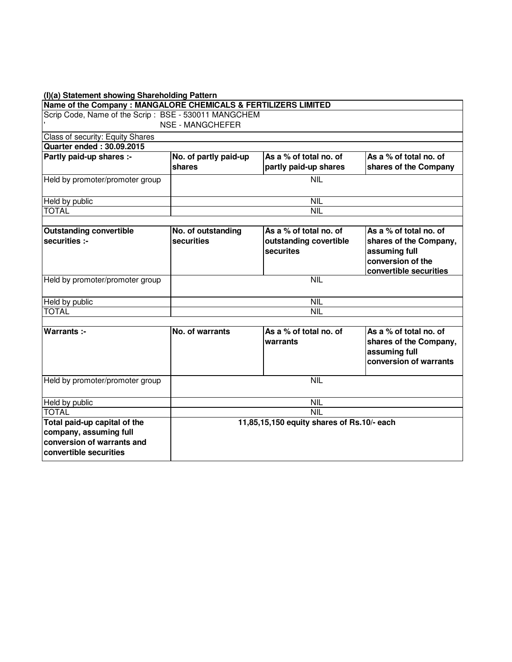| (I)(a) Statement showing Shareholding Pattern                                                                  |                                            |                                                               |                                                                                                                  |  |  |  |  |  |  |  |
|----------------------------------------------------------------------------------------------------------------|--------------------------------------------|---------------------------------------------------------------|------------------------------------------------------------------------------------------------------------------|--|--|--|--|--|--|--|
| Name of the Company : MANGALORE CHEMICALS & FERTILIZERS LIMITED                                                |                                            |                                                               |                                                                                                                  |  |  |  |  |  |  |  |
| Scrip Code, Name of the Scrip: BSE - 530011 MANGCHEM                                                           |                                            |                                                               |                                                                                                                  |  |  |  |  |  |  |  |
|                                                                                                                | NSE - MANGCHEFER                           |                                                               |                                                                                                                  |  |  |  |  |  |  |  |
| Class of security: Equity Shares                                                                               |                                            |                                                               |                                                                                                                  |  |  |  |  |  |  |  |
| <b>Quarter ended: 30.09.2015</b>                                                                               |                                            |                                                               |                                                                                                                  |  |  |  |  |  |  |  |
| Partly paid-up shares :-                                                                                       | No. of partly paid-up<br>shares            | As a % of total no. of<br>partly paid-up shares               | As a % of total no. of<br>shares of the Company                                                                  |  |  |  |  |  |  |  |
| Held by promoter/promoter group<br><b>NIL</b>                                                                  |                                            |                                                               |                                                                                                                  |  |  |  |  |  |  |  |
| Held by public                                                                                                 | <b>NIL</b>                                 |                                                               |                                                                                                                  |  |  |  |  |  |  |  |
| <b>TOTAL</b>                                                                                                   | <b>NIL</b>                                 |                                                               |                                                                                                                  |  |  |  |  |  |  |  |
|                                                                                                                |                                            |                                                               |                                                                                                                  |  |  |  |  |  |  |  |
| <b>Outstanding convertible</b><br>securities :-                                                                | No. of outstanding<br>securities           | As a % of total no. of<br>outstanding covertible<br>securites | As a % of total no. of<br>shares of the Company,<br>assuming full<br>conversion of the<br>convertible securities |  |  |  |  |  |  |  |
| Held by promoter/promoter group                                                                                |                                            | <b>NIL</b>                                                    |                                                                                                                  |  |  |  |  |  |  |  |
| Held by public                                                                                                 |                                            | <b>NIL</b>                                                    |                                                                                                                  |  |  |  |  |  |  |  |
| <b>TOTAL</b>                                                                                                   |                                            | NIL                                                           |                                                                                                                  |  |  |  |  |  |  |  |
|                                                                                                                |                                            |                                                               |                                                                                                                  |  |  |  |  |  |  |  |
| Warrants :-                                                                                                    | No. of warrants                            | As a % of total no. of<br>warrants                            | As a % of total no. of<br>shares of the Company,<br>assuming full<br>conversion of warrants                      |  |  |  |  |  |  |  |
| Held by promoter/promoter group                                                                                | <b>NIL</b>                                 |                                                               |                                                                                                                  |  |  |  |  |  |  |  |
| Held by public                                                                                                 | <b>NIL</b>                                 |                                                               |                                                                                                                  |  |  |  |  |  |  |  |
| <b>TOTAL</b>                                                                                                   | <b>NIL</b>                                 |                                                               |                                                                                                                  |  |  |  |  |  |  |  |
| Total paid-up capital of the<br>company, assuming full<br>conversion of warrants and<br>convertible securities | 11,85,15,150 equity shares of Rs.10/- each |                                                               |                                                                                                                  |  |  |  |  |  |  |  |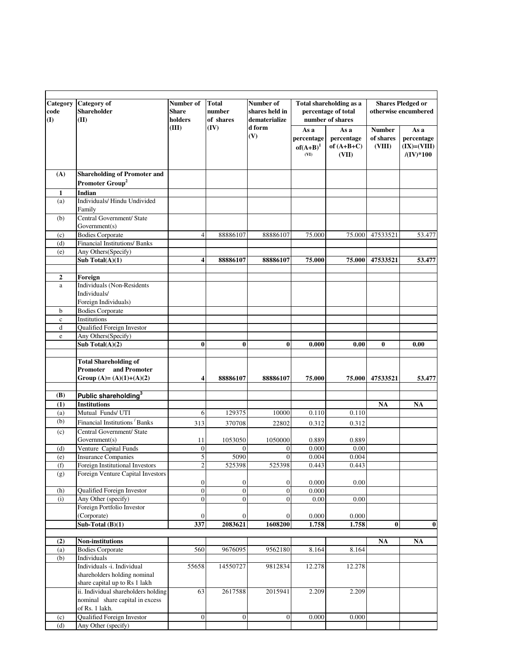| <b>Category</b><br>code<br>(I) | <b>Category</b> of<br><b>Shareholder</b><br>(II)                   | Number of<br>Share<br>holders      | <b>Total</b><br>number<br>of shares | Number of<br>shares held in<br>dematerialize |                                           | Total shareholding as a<br>percentage of total<br>number of shares | <b>Shares Pledged or</b><br>otherwise encumbered |                                                              |
|--------------------------------|--------------------------------------------------------------------|------------------------------------|-------------------------------------|----------------------------------------------|-------------------------------------------|--------------------------------------------------------------------|--------------------------------------------------|--------------------------------------------------------------|
|                                |                                                                    | (III)                              | (IV)                                | d form<br>(V)                                | As a<br>percentage<br>$of(A+B)^1$<br>(VI) | As a<br>percentage<br>of $(A+B+C)$<br>(VII)                        | <b>Number</b><br>of shares<br>(VIII)             | As a<br>percentage<br>$(IX)=(VIII)$<br>$/(\mathrm{IV})^*100$ |
| (A)                            | <b>Shareholding of Promoter and</b><br>Promoter Group <sup>2</sup> |                                    |                                     |                                              |                                           |                                                                    |                                                  |                                                              |
| 1                              | Indian                                                             |                                    |                                     |                                              |                                           |                                                                    |                                                  |                                                              |
| (a)                            | Individuals/ Hindu Undivided                                       |                                    |                                     |                                              |                                           |                                                                    |                                                  |                                                              |
|                                | Family                                                             |                                    |                                     |                                              |                                           |                                                                    |                                                  |                                                              |
| (b)                            | Central Government/ State<br>Government(s)                         |                                    |                                     |                                              |                                           |                                                                    |                                                  |                                                              |
| (c)                            | <b>Bodies Corporate</b>                                            | 4                                  | 88886107                            | 88886107                                     | 75.000                                    | 75.000                                                             | 47533521                                         | 53.477                                                       |
| (d)                            | <b>Financial Institutions/ Banks</b>                               |                                    |                                     |                                              |                                           |                                                                    |                                                  |                                                              |
| (e)                            | Any Others(Specify)                                                |                                    |                                     |                                              |                                           |                                                                    |                                                  |                                                              |
|                                | Sub Total $(A)(1)$                                                 | 4                                  | 88886107                            | 88886107                                     | 75.000                                    | 75.000                                                             | 47533521                                         | 53.477                                                       |
|                                |                                                                    |                                    |                                     |                                              |                                           |                                                                    |                                                  |                                                              |
| $\boldsymbol{2}$               | Foreign                                                            |                                    |                                     |                                              |                                           |                                                                    |                                                  |                                                              |
| a                              | Individuals (Non-Residents<br>Individuals/                         |                                    |                                     |                                              |                                           |                                                                    |                                                  |                                                              |
|                                | Foreign Individuals)                                               |                                    |                                     |                                              |                                           |                                                                    |                                                  |                                                              |
| b                              | <b>Bodies Corporate</b>                                            |                                    |                                     |                                              |                                           |                                                                    |                                                  |                                                              |
| $\mathbf c$                    | Institutions                                                       |                                    |                                     |                                              |                                           |                                                                    |                                                  |                                                              |
| d                              | Qualified Foreign Investor                                         |                                    |                                     |                                              |                                           |                                                                    |                                                  |                                                              |
| e                              | Any Others(Specify)                                                |                                    |                                     |                                              |                                           |                                                                    |                                                  |                                                              |
|                                | Sub Total $(A)(2)$                                                 | $\bf{0}$                           | $\bf{0}$                            | $\bf{0}$                                     | 0.000                                     | 0.00                                                               | $\bf{0}$                                         | 0.00                                                         |
|                                | <b>Total Shareholding of</b>                                       |                                    |                                     |                                              |                                           |                                                                    |                                                  |                                                              |
|                                | and Promoter<br>Promoter                                           |                                    |                                     |                                              |                                           |                                                                    |                                                  |                                                              |
|                                | Group (A)= $(A)(1)+(A)(2)$                                         | 4                                  | 88886107                            | 88886107                                     | 75.000                                    | 75.000                                                             | 47533521                                         | 53.477                                                       |
| (B)                            | Public shareholding <sup>3</sup>                                   |                                    |                                     |                                              |                                           |                                                                    |                                                  |                                                              |
| (1)                            | <b>Institutions</b>                                                |                                    |                                     |                                              |                                           |                                                                    | <b>NA</b>                                        | <b>NA</b>                                                    |
| (a)                            | Mutual Funds/ UTI                                                  | 6                                  | 129375                              | 10000                                        | 0.110                                     | 0.110                                                              |                                                  |                                                              |
| (b)                            | Financial Institutions Banks                                       | 313                                | 370708                              | 22802                                        | 0.312                                     | 0.312                                                              |                                                  |                                                              |
| (c)                            | Central Government/ State                                          |                                    |                                     |                                              |                                           |                                                                    |                                                  |                                                              |
|                                | Government(s)                                                      | 11                                 | 1053050                             | 1050000                                      | 0.889                                     | 0.889                                                              |                                                  |                                                              |
| (d)                            | Venture Capital Funds                                              | $\boldsymbol{0}$                   | $\Omega$                            | $\mathbf{0}$                                 | 0.000                                     | 0.00                                                               |                                                  |                                                              |
| (e)                            | <b>Insurance Companies</b>                                         | 5                                  | 5090                                | $\Omega$                                     | 0.004                                     | 0.004                                                              |                                                  |                                                              |
| (f)                            | Foreign Institutional Investors                                    | $\overline{c}$                     | 525398                              | 525398                                       | 0.443                                     | 0.443                                                              |                                                  |                                                              |
| (g)                            | Foreign Venture Capital Investors                                  |                                    |                                     |                                              |                                           |                                                                    |                                                  |                                                              |
|                                |                                                                    | $\boldsymbol{0}$                   | $\boldsymbol{0}$                    | $\boldsymbol{0}$                             | 0.000                                     | 0.00                                                               |                                                  |                                                              |
| (h)<br>(i)                     | Qualified Foreign Investor<br>Any Other (specify)                  | $\boldsymbol{0}$<br>$\overline{0}$ | $\overline{0}$<br>$\overline{0}$    | $\boldsymbol{0}$<br>$\mathbf{0}$             | 0.000<br>0.00                             | 0.00                                                               |                                                  |                                                              |
|                                | Foreign Portfolio Investor                                         |                                    |                                     |                                              |                                           |                                                                    |                                                  |                                                              |
|                                | (Corporate)                                                        | $\boldsymbol{0}$                   | $\boldsymbol{0}$                    | $\boldsymbol{0}$                             | 0.000                                     | 0.000                                                              |                                                  |                                                              |
|                                | Sub-Total $(B)(1)$                                                 | 337                                | 2083621                             | 1608200                                      | 1.758                                     | 1.758                                                              | $\bf{0}$                                         | $\bf{0}$                                                     |
|                                |                                                                    |                                    |                                     |                                              |                                           |                                                                    |                                                  |                                                              |
| (2)                            | Non-institutions                                                   |                                    |                                     |                                              |                                           |                                                                    | NA                                               | NA                                                           |
| (a)                            | <b>Bodies Corporate</b>                                            | 560                                | 9676095                             | 9562180                                      | 8.164                                     | 8.164                                                              |                                                  |                                                              |
| (b)                            | Individuals                                                        |                                    |                                     |                                              |                                           |                                                                    |                                                  |                                                              |
|                                | Individuals -i. Individual                                         | 55658                              | 14550727                            | 9812834                                      | 12.278                                    | 12.278                                                             |                                                  |                                                              |
|                                | shareholders holding nominal                                       |                                    |                                     |                                              |                                           |                                                                    |                                                  |                                                              |
|                                | share capital up to Rs 1 lakh                                      |                                    |                                     |                                              |                                           |                                                                    |                                                  |                                                              |
|                                | ii. Individual shareholders holding                                | 63                                 | 2617588                             | 2015941                                      | 2.209                                     | 2.209                                                              |                                                  |                                                              |
|                                | nominal share capital in excess<br>of Rs. 1 lakh.                  |                                    |                                     |                                              |                                           |                                                                    |                                                  |                                                              |
| (c)                            | <b>Qualified Foreign Investor</b>                                  | $\boldsymbol{0}$                   | $\boldsymbol{0}$                    | $\mathbf{0}$                                 | 0.000                                     | 0.000                                                              |                                                  |                                                              |
| (d)                            | Any Other (specify)                                                |                                    |                                     |                                              |                                           |                                                                    |                                                  |                                                              |
|                                |                                                                    |                                    |                                     |                                              |                                           |                                                                    |                                                  |                                                              |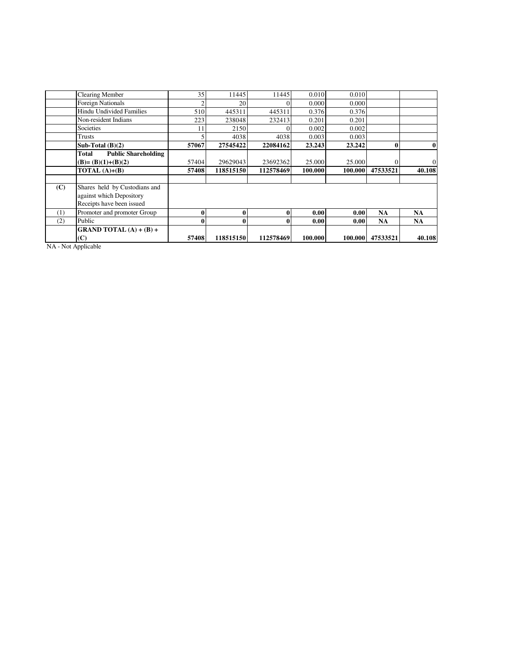|     | <b>Clearing Member</b>                                                                 | 35    | 11445     | 11445     | 0.010   | 0.010   |           |                |
|-----|----------------------------------------------------------------------------------------|-------|-----------|-----------|---------|---------|-----------|----------------|
|     | <b>Foreign Nationals</b>                                                               |       | 20        | $\Omega$  | 0.000   | 0.000   |           |                |
|     | Hindu Undivided Families                                                               | 510   | 445311    | 445311    | 0.376   | 0.376   |           |                |
|     | Non-resident Indians                                                                   | 223   | 238048    | 232413    | 0.201   | 0.201   |           |                |
|     | Societies                                                                              | 11    | 2150      | $\Omega$  | 0.002   | 0.002   |           |                |
|     | Trusts                                                                                 |       | 4038      | 4038      | 0.003   | 0.003   |           |                |
|     | Sub-Total $(B)(2)$                                                                     | 57067 | 27545422  | 22084162  | 23.243  | 23.242  |           | 0              |
|     | <b>Public Shareholding</b><br>Total                                                    |       |           |           |         |         |           |                |
|     | $(B)=(B)(1)+(B)(2)$                                                                    | 57404 | 29629043  | 23692362  | 25,000  | 25.000  |           | $\overline{0}$ |
|     | TOTAL $(A)+(B)$                                                                        | 57408 | 118515150 | 112578469 | 100.000 | 100.000 | 47533521  | 40.108         |
|     |                                                                                        |       |           |           |         |         |           |                |
| (C) | Shares held by Custodians and<br>against which Depository<br>Receipts have been issued |       |           |           |         |         |           |                |
| (1) | Promoter and promoter Group                                                            | 0     |           | $\bf{0}$  | 0.00    | 0.00    | <b>NA</b> | NA             |
| (2) | Public                                                                                 | 0     |           | $\bf{0}$  | 0.00    | 0.00    | NA        | NA             |
|     | <b>GRAND TOTAL</b> $(A) + (B) +$<br>(C)<br>$\cdots$                                    | 57408 | 118515150 | 112578469 | 100.000 | 100.000 | 47533521  | 40.108         |

NA - Not Applicable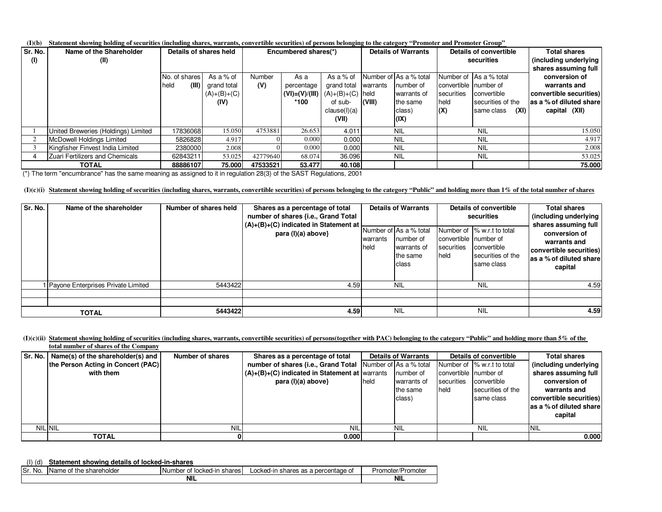### **(I)(b)Statement showing holding of securities (including shares, warrants, convertible securities) of persons belonging to the category "Promoter and Promoter Group"**

| Sr. No. | Name of the Shareholder             | Details of shares held |               |          | Encumbered shares(*) |                                         |           | <b>Details of Warrants</b> | Details of convertible |                        | <b>Total shares</b>      |
|---------|-------------------------------------|------------------------|---------------|----------|----------------------|-----------------------------------------|-----------|----------------------------|------------------------|------------------------|--------------------------|
| (1)     | (II)                                |                        |               |          |                      |                                         |           | securities                 |                        | (including underlying  |                          |
|         |                                     |                        |               |          |                      |                                         |           |                            |                        |                        | shares assuming full     |
|         |                                     | No. of shares          | As a % of     | Number   | As a                 | As a % of                               |           | Number of As a % total     |                        | Number of As a % total | conversion of            |
|         |                                     | (III)<br><b>held</b>   | grand total   | (V)      | percentage           | grand total                             | Iwarrants | Inumber of                 | convertible number of  |                        | warrants and             |
|         |                                     |                        | $(A)+(B)+(C)$ |          |                      | $(VI) = (V)/(III)   (A)+(B)+(C)   held$ |           | warrants of                | securities             | convertible            | convertible securities)  |
|         |                                     |                        | (IV)          |          | *100                 | of sub-                                 | (VIII)    | the same                   | held                   | securities of the      | las a % of diluted share |
|         |                                     |                        |               |          |                      | clause(l)(a)                            |           | class)                     | (X)                    | (XI)<br>same class     | capital (XII)            |
|         |                                     |                        |               |          |                      | (VII)                                   |           | (IX)                       |                        |                        |                          |
|         | United Breweries (Holdings) Limited | 17836068               | 15.050        | 4753881  | 26.653               | 4.011                                   |           | <b>NIL</b>                 |                        | NIL                    | 15.050                   |
|         | <b>McDowell Holdings Limited</b>    | 5826828                | 4.917         |          | 0.000                | 0.000                                   |           | <b>NIL</b>                 |                        | <b>NIL</b>             | 4.917                    |
|         | Kingfisher Finvest India Limited    | 2380000                | 2.008         |          | 0.000                | 0.000                                   |           | <b>NIL</b>                 |                        | <b>NIL</b>             | 2.008                    |
|         | Zuari Fertilizers and Chemicals     | 62843211               | 53.025        | 42779640 | 68.074               | 36.096                                  |           | <b>NIL</b>                 |                        | <b>NIL</b>             | 53.025                   |
|         | <b>TOTAL</b>                        | 88886107               | 75.000        | 47533521 | 53.477               | 40.108                                  |           |                            |                        |                        | 75.000                   |

(\*) The term "encumbrance" has the same meaning as assigned to it in regulation 28(3) of the SAST Regulations, 2001

# **(I)(c)(i)Statement showing holding of securities (including shares, warrants, convertible securities) of persons belonging to the category "Public" and holding more than 1% of the total number of shares**

| Sr. No. | Name of the shareholder            | Number of shares held | Shares as a percentage of total<br>number of shares {i.e., Grand Total<br>$(A)+(B)+(C)$ indicated in Statement at<br>para (I)(a) above} | warrants<br>held | <b>Details of Warrants</b><br>Number of As a % total<br>number of<br>warrants of<br>the same<br>class | convertible Inumber of<br>securities<br>held | Details of convertible<br>securities<br>Number of 1% w.r.t to total<br>convertible<br>securities of the<br>same class | <b>Total shares</b><br>(including underlying<br>shares assuming full<br>conversion of<br>warrants and<br>convertible securities)<br>as a % of diluted share<br>capital |
|---------|------------------------------------|-----------------------|-----------------------------------------------------------------------------------------------------------------------------------------|------------------|-------------------------------------------------------------------------------------------------------|----------------------------------------------|-----------------------------------------------------------------------------------------------------------------------|------------------------------------------------------------------------------------------------------------------------------------------------------------------------|
|         | Payone Enterprises Private Limited | 5443422               | 4.59                                                                                                                                    |                  | <b>NIL</b>                                                                                            |                                              | <b>NIL</b>                                                                                                            | 4.59                                                                                                                                                                   |
|         |                                    |                       |                                                                                                                                         |                  |                                                                                                       |                                              |                                                                                                                       |                                                                                                                                                                        |
|         | <b>TOTAL</b>                       | 5443422               | 4.59                                                                                                                                    |                  | <b>NIL</b>                                                                                            |                                              | <b>NIL</b>                                                                                                            | 4.59                                                                                                                                                                   |

#### **(I)(c)(ii)Statement showing holding of securities (including shares, warrants, convertible securities) of persons(together with PAC) belonging to the category "Public" and holding more than 5% of the total number of shares of the Company**

|                | Sr. No.   Name(s) of the shareholder(s) and  <br>the Person Acting in Concert (PAC)<br>with them | Number of shares | Shares as a percentage of total<br><b>number of shares {i.e., Grand Total   Number of As a % total</b><br>$(A)+(B)+(C)$ indicated in Statement at warrants<br>para (I)(a) above} | held | <b>Details of Warrants</b><br>number of<br>warrants of<br>the same<br>class) | convertible number of<br>securities<br>held | Details of convertible<br>Number of 1% w.r.t to total<br>convertible<br>securities of the<br>same class | Total shares<br>(including underlying<br>shares assuming full<br>conversion of<br>warrants and<br>convertible securities)<br>as a % of diluted share<br>capital |
|----------------|--------------------------------------------------------------------------------------------------|------------------|----------------------------------------------------------------------------------------------------------------------------------------------------------------------------------|------|------------------------------------------------------------------------------|---------------------------------------------|---------------------------------------------------------------------------------------------------------|-----------------------------------------------------------------------------------------------------------------------------------------------------------------|
| <b>NIL NIL</b> |                                                                                                  | <b>NIL</b>       | <b>NIL</b>                                                                                                                                                                       |      | <b>NIL</b>                                                                   |                                             | <b>NIL</b>                                                                                              | <b>NIL</b>                                                                                                                                                      |
|                | TOTAL                                                                                            | 01               | 0.000                                                                                                                                                                            |      |                                                                              |                                             |                                                                                                         | 0.000                                                                                                                                                           |

## (I) (d)**Statement showing details of locked-in-shares**

| . .<br>.<br>No.<br>: shareholder<br>Name of<br>τne<br>ЭI. | Number<br>shares<br>d-in<br>- - -<br>locked-<br>ີ | _ocked-ii<br>a per<br>entage of<br>shares<br>ົ<br>. udi n<br>- പാ | Promoter/<br>P<br>-топтоге |
|-----------------------------------------------------------|---------------------------------------------------|-------------------------------------------------------------------|----------------------------|
|                                                           | <b>NIL</b>                                        |                                                                   |                            |